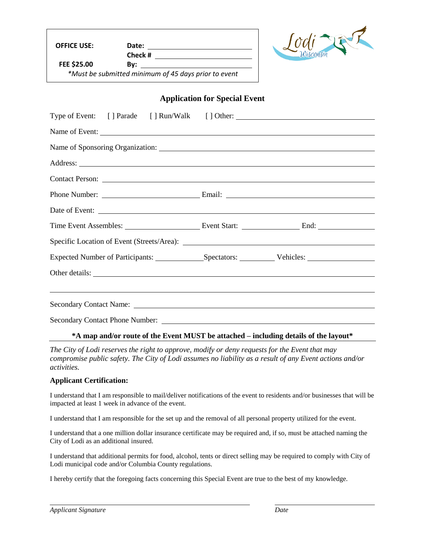**OFFICE USE: Date:** 

**Check # FEE \$25.00 By:** 

*\*Must be submitted minimum of 45 days prior to event*



## **Application for Special Event**

|                                                                                                                                                                                                                               | Type of Event: [] Parade [] Run/Walk [] Other: __________________________________ |  |  |
|-------------------------------------------------------------------------------------------------------------------------------------------------------------------------------------------------------------------------------|-----------------------------------------------------------------------------------|--|--|
|                                                                                                                                                                                                                               | Name of Event:                                                                    |  |  |
|                                                                                                                                                                                                                               |                                                                                   |  |  |
|                                                                                                                                                                                                                               |                                                                                   |  |  |
|                                                                                                                                                                                                                               |                                                                                   |  |  |
|                                                                                                                                                                                                                               |                                                                                   |  |  |
|                                                                                                                                                                                                                               |                                                                                   |  |  |
|                                                                                                                                                                                                                               |                                                                                   |  |  |
|                                                                                                                                                                                                                               |                                                                                   |  |  |
|                                                                                                                                                                                                                               |                                                                                   |  |  |
| Other details:                                                                                                                                                                                                                |                                                                                   |  |  |
|                                                                                                                                                                                                                               |                                                                                   |  |  |
| Secondary Contact Name: Name and Secondary Contact Name and Secondary Contact Name and Secondary Contact Name and Secondary Contact Name and Secondary Contact Name and Secondary Contact Name and Secondary Contact Name and |                                                                                   |  |  |
|                                                                                                                                                                                                                               |                                                                                   |  |  |

## **\*A map and/or route of the Event MUST be attached – including details of the layout\***

*The City of Lodi reserves the right to approve, modify or deny requests for the Event that may compromise public safety. The City of Lodi assumes no liability as a result of any Event actions and/or activities.*

## **Applicant Certification:**

I understand that I am responsible to mail/deliver notifications of the event to residents and/or businesses that will be impacted at least 1 week in advance of the event.

I understand that I am responsible for the set up and the removal of all personal property utilized for the event.

I understand that a one million dollar insurance certificate may be required and, if so, must be attached naming the City of Lodi as an additional insured.

I understand that additional permits for food, alcohol, tents or direct selling may be required to comply with City of Lodi municipal code and/or Columbia County regulations.

I hereby certify that the foregoing facts concerning this Special Event are true to the best of my knowledge.